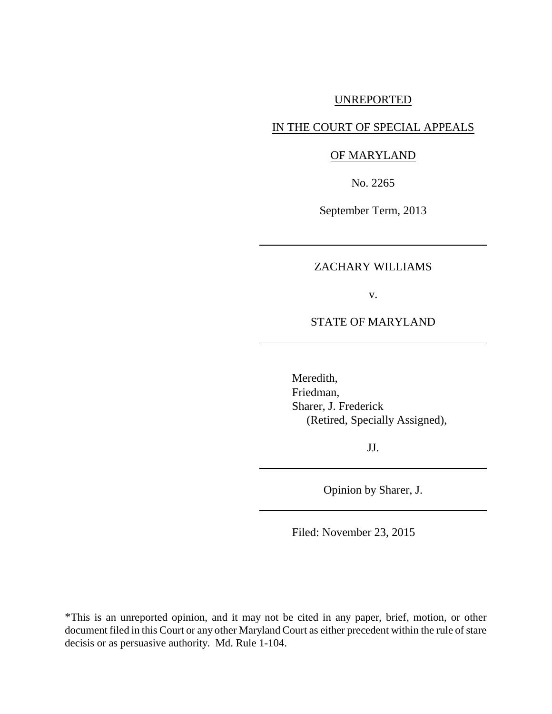### UNREPORTED

# IN THE COURT OF SPECIAL APPEALS

#### OF MARYLAND

No. 2265

September Term, 2013

# ZACHARY WILLIAMS

v.

STATE OF MARYLAND

Meredith, Friedman, Sharer, J. Frederick (Retired, Specially Assigned),

JJ.

Opinion by Sharer, J.

Filed: November 23, 2015

\*This is an unreported opinion, and it may not be cited in any paper, brief, motion, or other document filed in this Court or any other Maryland Court as either precedent within the rule of stare decisis or as persuasive authority. Md. Rule 1-104.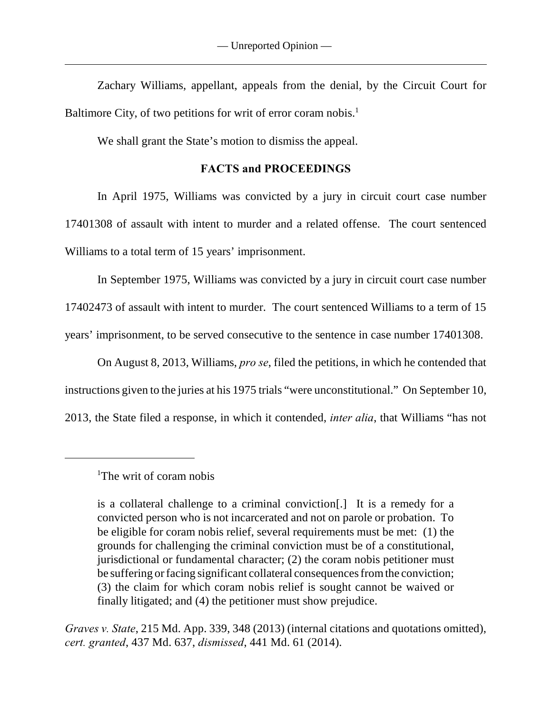Zachary Williams, appellant, appeals from the denial, by the Circuit Court for Baltimore City, of two petitions for writ of error coram nobis.<sup>1</sup>

We shall grant the State's motion to dismiss the appeal.

# **FACTS and PROCEEDINGS**

In April 1975, Williams was convicted by a jury in circuit court case number 17401308 of assault with intent to murder and a related offense. The court sentenced Williams to a total term of 15 years' imprisonment.

In September 1975, Williams was convicted by a jury in circuit court case number 17402473 of assault with intent to murder. The court sentenced Williams to a term of 15 years' imprisonment, to be served consecutive to the sentence in case number 17401308.

On August 8, 2013, Williams, *pro se*, filed the petitions, in which he contended that instructions given to the juries at his 1975 trials "were unconstitutional." On September 10, 2013, the State filed a response, in which it contended, *inter alia*, that Williams "has not

*Graves v. State*, 215 Md. App. 339, 348 (2013) (internal citations and quotations omitted), *cert. granted*, 437 Md. 637, *dismissed*, 441 Md. 61 (2014).

<sup>&</sup>lt;sup>1</sup>The writ of coram nobis

is a collateral challenge to a criminal conviction[.] It is a remedy for a convicted person who is not incarcerated and not on parole or probation. To be eligible for coram nobis relief, several requirements must be met: (1) the grounds for challenging the criminal conviction must be of a constitutional, jurisdictional or fundamental character; (2) the coram nobis petitioner must be suffering or facing significant collateral consequences from the conviction; (3) the claim for which coram nobis relief is sought cannot be waived or finally litigated; and (4) the petitioner must show prejudice.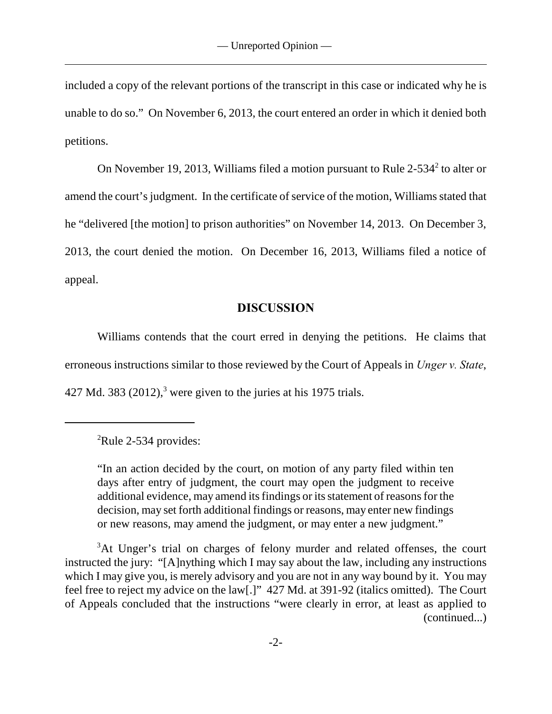included a copy of the relevant portions of the transcript in this case or indicated why he is unable to do so." On November 6, 2013, the court entered an order in which it denied both petitions.

On November 19, 2013, Williams filed a motion pursuant to Rule  $2-534<sup>2</sup>$  to alter or amend the court's judgment. In the certificate of service of the motion, Williams stated that he "delivered [the motion] to prison authorities" on November 14, 2013. On December 3, 2013, the court denied the motion. On December 16, 2013, Williams filed a notice of appeal.

# **DISCUSSION**

Williams contends that the court erred in denying the petitions. He claims that erroneous instructions similar to those reviewed by the Court of Appeals in *Unger v. State*, 427 Md. 383  $(2012)$ , <sup>3</sup> were given to the juries at his 1975 trials.

"In an action decided by the court, on motion of any party filed within ten days after entry of judgment, the court may open the judgment to receive additional evidence, may amend its findings or its statement of reasons for the decision, may set forth additional findings or reasons, may enter new findings or new reasons, may amend the judgment, or may enter a new judgment."

<sup>3</sup>At Unger's trial on charges of felony murder and related offenses, the court instructed the jury: "[A]nything which I may say about the law, including any instructions which I may give you, is merely advisory and you are not in any way bound by it. You may feel free to reject my advice on the law[.]" 427 Md. at 391-92 (italics omitted). The Court of Appeals concluded that the instructions "were clearly in error, at least as applied to (continued...)

 ${}^{2}$ Rule 2-534 provides: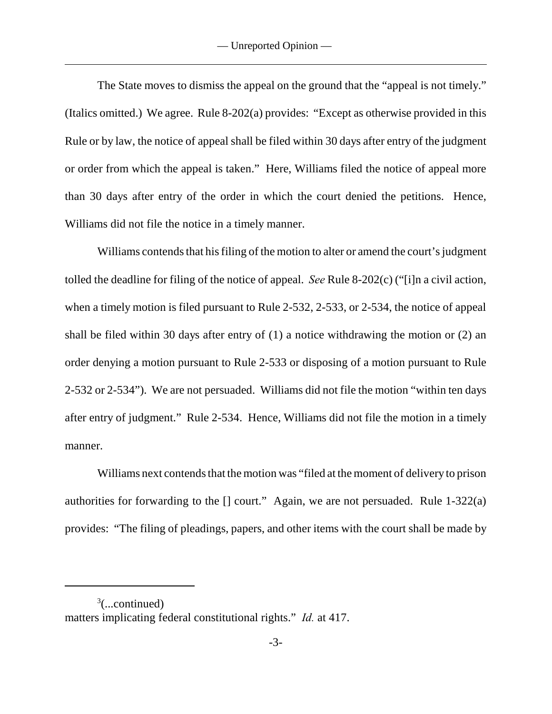The State moves to dismiss the appeal on the ground that the "appeal is not timely." (Italics omitted.) We agree. Rule 8-202(a) provides: "Except as otherwise provided in this Rule or by law, the notice of appeal shall be filed within 30 days after entry of the judgment or order from which the appeal is taken." Here, Williams filed the notice of appeal more than 30 days after entry of the order in which the court denied the petitions. Hence, Williams did not file the notice in a timely manner.

Williams contends that his filing of the motion to alter or amend the court's judgment tolled the deadline for filing of the notice of appeal. *See* Rule 8-202(c) ("[i]n a civil action, when a timely motion is filed pursuant to Rule 2-532, 2-533, or 2-534, the notice of appeal shall be filed within 30 days after entry of (1) a notice withdrawing the motion or (2) an order denying a motion pursuant to Rule 2-533 or disposing of a motion pursuant to Rule 2-532 or 2-534"). We are not persuaded. Williams did not file the motion "within ten days after entry of judgment." Rule 2-534. Hence, Williams did not file the motion in a timely manner.

Williams next contends that the motion was "filed at the moment of delivery to prison authorities for forwarding to the  $\lceil \cdot \rceil$  court." Again, we are not persuaded. Rule 1-322(a) provides: "The filing of pleadings, papers, and other items with the court shall be made by

 $3$ (...continued) matters implicating federal constitutional rights." *Id.* at 417.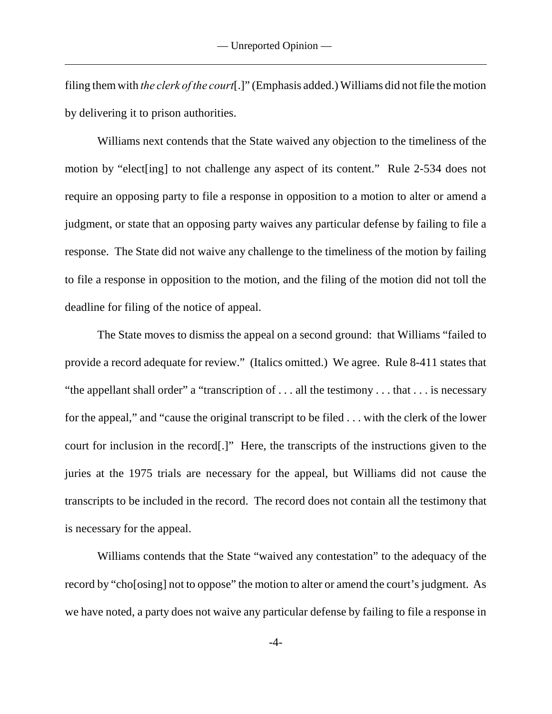filing them with *the clerk of the court*[.]" (Emphasis added.) Williams did not file the motion by delivering it to prison authorities.

Williams next contends that the State waived any objection to the timeliness of the motion by "elect [ing] to not challenge any aspect of its content." Rule 2-534 does not require an opposing party to file a response in opposition to a motion to alter or amend a judgment, or state that an opposing party waives any particular defense by failing to file a response. The State did not waive any challenge to the timeliness of the motion by failing to file a response in opposition to the motion, and the filing of the motion did not toll the deadline for filing of the notice of appeal.

The State moves to dismiss the appeal on a second ground: that Williams "failed to provide a record adequate for review." (Italics omitted.) We agree. Rule 8-411 states that "the appellant shall order" a "transcription of . . . all the testimony . . . that . . . is necessary for the appeal," and "cause the original transcript to be filed . . . with the clerk of the lower court for inclusion in the record[.]" Here, the transcripts of the instructions given to the juries at the 1975 trials are necessary for the appeal, but Williams did not cause the transcripts to be included in the record. The record does not contain all the testimony that is necessary for the appeal.

Williams contends that the State "waived any contestation" to the adequacy of the record by "cho[osing] not to oppose" the motion to alter or amend the court's judgment. As we have noted, a party does not waive any particular defense by failing to file a response in